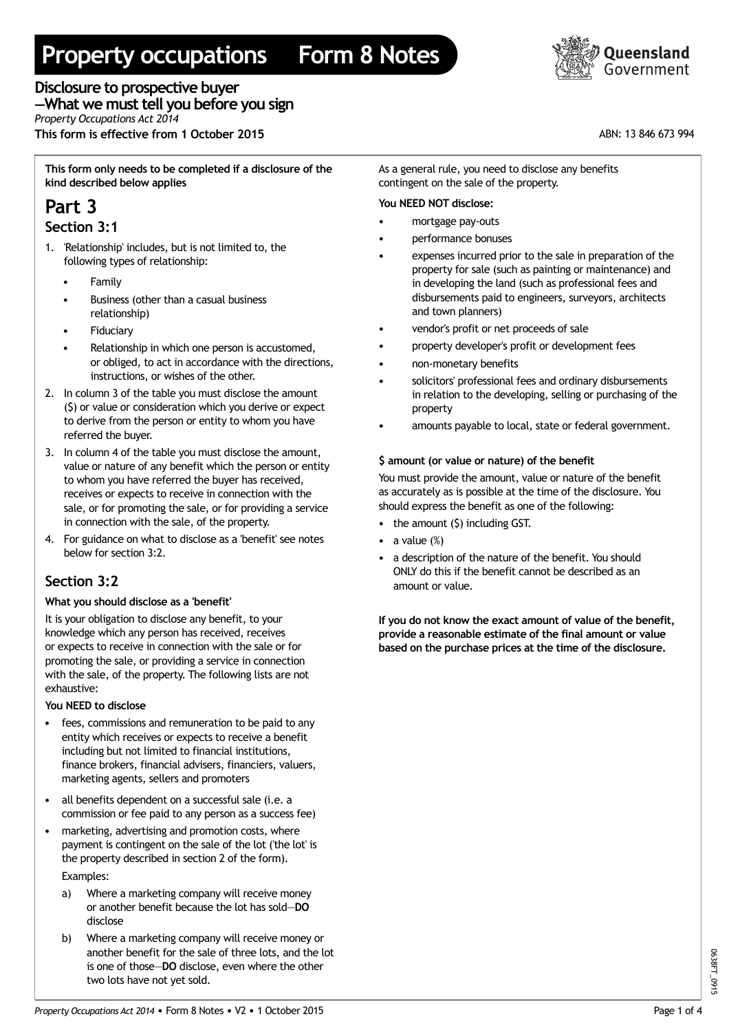# **Property occupations Form 8 Notes**



**Disclosure to prospective buyer —What we musttell you before you sign** *Property Occupations Act 2014* **This form is effective from 1 October 2015** ABN: 13 846 673 994

**This form only needs to be completed if a disclosure of the kind described below applies**

# **Part 3**

### **Section 3:1**

- 1. 'Relationship' includes, but is not limited to, the following types of relationship:
	- **Family**
	- Business (other than a casual business relationship)
	- **Fiduciary**
	- Relationship in which one person is accustomed, or obliged, to act in accordance with the directions, instructions, or wishes of the other.
- 2. In column 3 of the table you must disclose the amount (\$) or value or consideration which you derive or expect to derive from the person or entity to whom you have referred the buyer.
- 3. In column 4 of the table you must disclose the amount, value or nature of any benefit which the person or entity to whom you have referred the buyer has received, receives or expects to receive in connection with the sale, or for promoting the sale, or for providing a service in connection with the sale, of the property.
- 4. For guidance on what to disclose as a 'benefit' see notes below for section 3:2.

# **Section 3:2**

#### **What you should disclose as a 'benefit'**

It is your obligation to disclose any benefit, to your knowledge which any person has received, receives or expects to receive in connection with the sale or for promoting the sale, or providing a service in connection with the sale, of the property. The following lists are not exhaustive:

#### **You NEED to disclose**

- fees, commissions and remuneration to be paid to any entity which receives or expects to receive a benefit including but not limited to financial institutions, finance brokers, financial advisers, financiers, valuers, marketing agents, sellers and promoters
- all benefits dependent on a successful sale (i.e. a commission or fee paid to any person as a success fee)
- marketing, advertising and promotion costs, where payment is contingent on the sale of the lot ('the lot' is the property described in section 2 of the form).

Examples:

- a) Where a marketing company will receive money or another benefit because the lot has sold—**DO** disclose
- b) Where a marketing company will receive money or another benefit for the sale of three lots, and the lot is one of those—**DO** disclose, even where the other two lots have not yet sold.

As a general rule, you need to disclose any benefits contingent on the sale of the property.

# **You NEED NOT disclose:**

- mortgage pay-outs
- performance bonuses
- expenses incurred prior to the sale in preparation of the property for sale (such as painting or maintenance) and in developing the land (such as professional fees and disbursements paid to engineers, surveyors, architects and town planners)
- vendor's profit or net proceeds of sale
- property developer's profit or development fees
- non-monetary benefits
- solicitors' professional fees and ordinary disbursements in relation to the developing, selling or purchasing of the property •
- amounts payable to local, state or federal government.

# **\$ amount (or value or nature) of the benefit**

You must provide the amount, value or nature of the benefit as accurately as is possible at the time of the disclosure. You should express the benefit as one of the following:

- the amount (\$) including GST.
- a value  $(\%)$
- a description of the nature of the benefit. You should ONLY do this if the benefit cannot be described as an amount or value.

**If you do not know the exact amount of value of the benefit, provide a reasonable estimate of the final amount or value based on the purchase prices at the time of the disclosure.**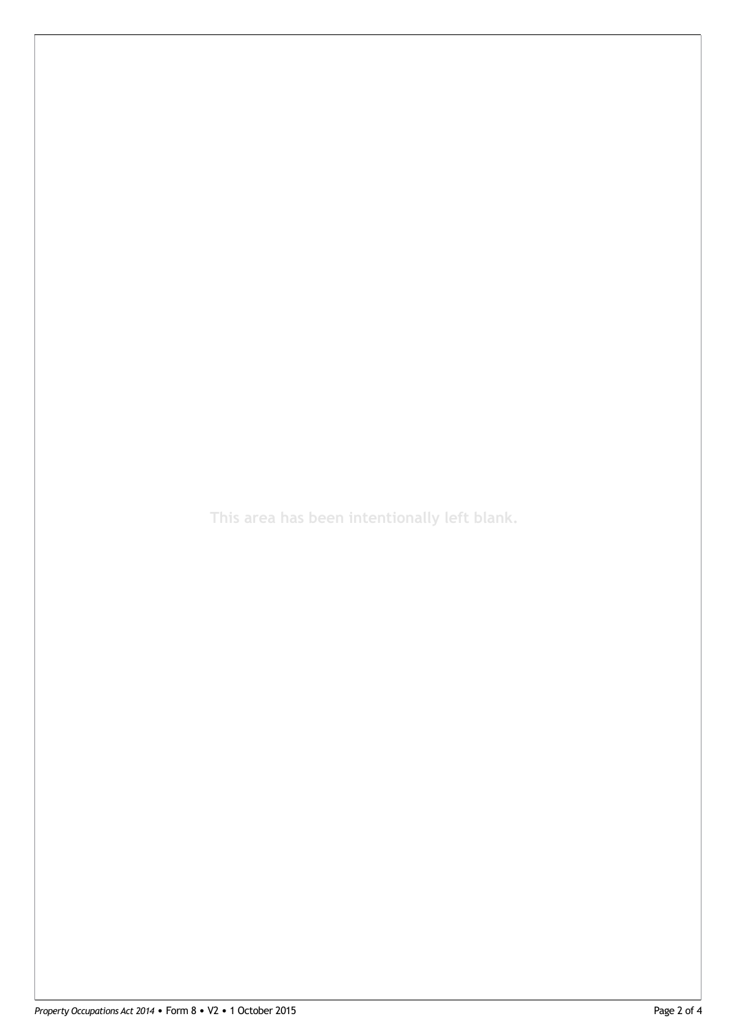**This area has been intentionally left blank.**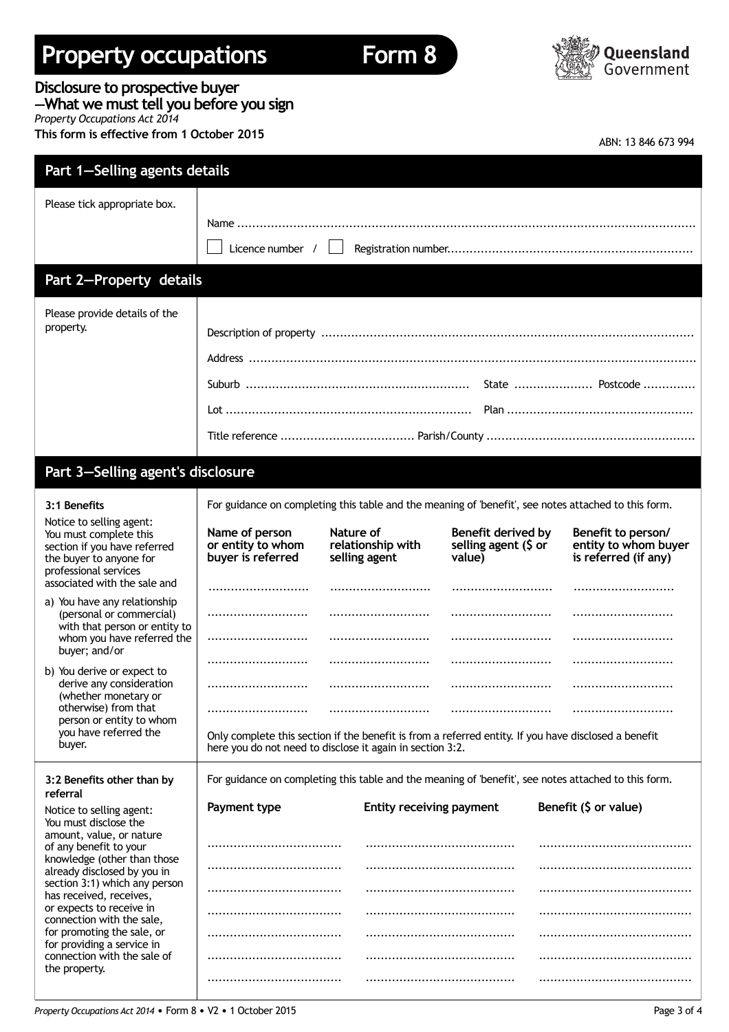# **Property occupations Form 8**





### **Disclosure to prospective buyer**

**—What we musttell you before you sign** *Property Occupations Act 2014*

**This form is effective from 1 October 2015**

| ABN: 13 846 673 994 |  |
|---------------------|--|
|---------------------|--|

| Part 1-Selling agents details                                                                                                                                                                                                         |                                                                                                                                                                   |                                                                                                      |                                                      |                                                                    |  |
|---------------------------------------------------------------------------------------------------------------------------------------------------------------------------------------------------------------------------------------|-------------------------------------------------------------------------------------------------------------------------------------------------------------------|------------------------------------------------------------------------------------------------------|------------------------------------------------------|--------------------------------------------------------------------|--|
| Please tick appropriate box.                                                                                                                                                                                                          |                                                                                                                                                                   |                                                                                                      |                                                      |                                                                    |  |
|                                                                                                                                                                                                                                       | Licence number $/$                                                                                                                                                |                                                                                                      |                                                      |                                                                    |  |
| Part 2-Property details                                                                                                                                                                                                               |                                                                                                                                                                   |                                                                                                      |                                                      |                                                                    |  |
| Please provide details of the<br>property.                                                                                                                                                                                            |                                                                                                                                                                   |                                                                                                      |                                                      |                                                                    |  |
| Part 3-Selling agent's disclosure                                                                                                                                                                                                     |                                                                                                                                                                   |                                                                                                      |                                                      |                                                                    |  |
| 3:1 Benefits                                                                                                                                                                                                                          |                                                                                                                                                                   | For guidance on completing this table and the meaning of 'benefit', see notes attached to this form. |                                                      |                                                                    |  |
| Notice to selling agent:<br>You must complete this<br>section if you have referred<br>the buyer to anyone for<br>professional services                                                                                                | Name of person<br>or entity to whom<br>buyer is referred                                                                                                          | Nature of<br>relationship with<br>selling agent                                                      | Benefit derived by<br>selling agent (\$ or<br>value) | Benefit to person/<br>entity to whom buyer<br>is referred (if any) |  |
| associated with the sale and<br>a) You have any relationship                                                                                                                                                                          |                                                                                                                                                                   |                                                                                                      |                                                      |                                                                    |  |
| (personal or commercial)<br>with that person or entity to<br>whom you have referred the<br>buyer; and/or                                                                                                                              | <br>                                                                                                                                                              |                                                                                                      |                                                      |                                                                    |  |
| b) You derive or expect to                                                                                                                                                                                                            | <br><br><br>                                                                                                                                                      |                                                                                                      |                                                      |                                                                    |  |
| derive any consideration<br>(whether monetary or<br>otherwise) from that                                                                                                                                                              |                                                                                                                                                                   |                                                                                                      |                                                      |                                                                    |  |
| person or entity to whom<br>you have referred the<br>buyer.                                                                                                                                                                           | Only complete this section if the benefit is from a referred entity. If you have disclosed a benefit<br>here you do not need to disclose it again in section 3:2. |                                                                                                      |                                                      |                                                                    |  |
| 3:2 Benefits other than by<br>referral                                                                                                                                                                                                | For guidance on completing this table and the meaning of 'benefit', see notes attached to this form.                                                              |                                                                                                      |                                                      |                                                                    |  |
| Notice to selling agent:<br>You must disclose the                                                                                                                                                                                     | Payment type                                                                                                                                                      | Entity receiving payment                                                                             |                                                      | Benefit (\$ or value)                                              |  |
| amount, value, or nature<br>of any benefit to your<br>knowledge (other than those<br>already disclosed by you in<br>section 3:1) which any person<br>has received, receives,<br>or expects to receive in<br>connection with the sale, |                                                                                                                                                                   |                                                                                                      |                                                      |                                                                    |  |
|                                                                                                                                                                                                                                       |                                                                                                                                                                   |                                                                                                      |                                                      |                                                                    |  |
|                                                                                                                                                                                                                                       |                                                                                                                                                                   |                                                                                                      |                                                      |                                                                    |  |
| for promoting the sale, or<br>for providing a service in                                                                                                                                                                              |                                                                                                                                                                   |                                                                                                      |                                                      |                                                                    |  |
| connection with the sale of<br>the property.                                                                                                                                                                                          |                                                                                                                                                                   |                                                                                                      |                                                      |                                                                    |  |
|                                                                                                                                                                                                                                       |                                                                                                                                                                   |                                                                                                      |                                                      |                                                                    |  |